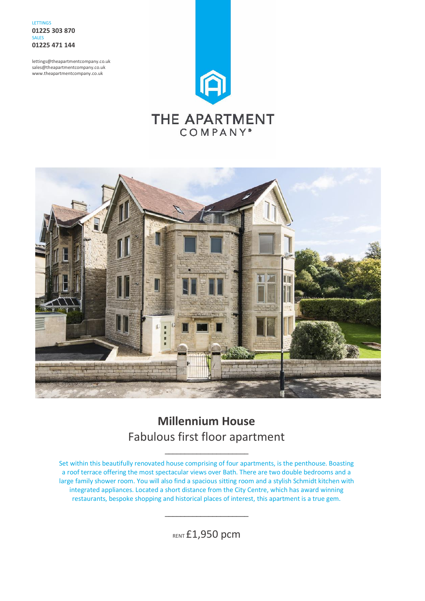LETTINGS **01225 303 870** SALES **01225 471 144**

lettings@theapartmentcompany.co.uk sales@theapartmentcompany.co.uk www.theapartmentcompany.co.uk





## **Millennium House** Fabulous first floor apartment

\_\_\_\_\_\_\_\_\_\_\_\_\_\_\_\_\_\_\_\_\_

Set within this beautifully renovated house comprising of four apartments, is the penthouse. Boasting a roof terrace offering the most spectacular views over Bath. There are two double bedrooms and a large family shower room. You will also find a spacious sitting room and a stylish Schmidt kitchen with integrated appliances. Located a short distance from the City Centre, which has award winning restaurants, bespoke shopping and historical places of interest, this apartment is a true gem.

**RENT £1,950 pcm** 

\_\_\_\_\_\_\_\_\_\_\_\_\_\_\_\_\_\_\_\_\_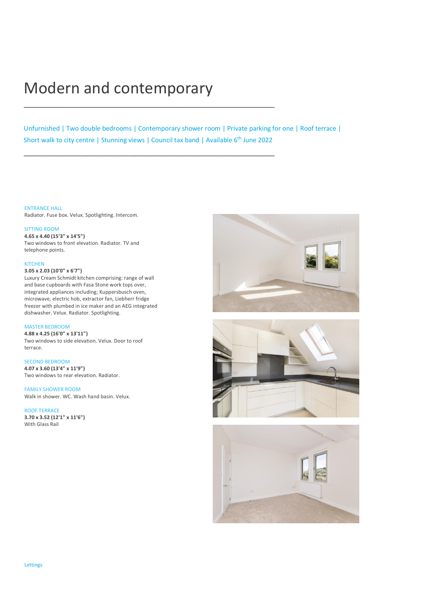# Modern and contemporary

\_\_\_\_\_\_\_\_\_\_\_\_\_\_\_\_\_\_\_\_\_\_\_\_\_\_\_\_\_\_\_\_\_\_\_\_\_\_\_\_\_\_\_\_\_\_\_\_\_\_\_\_\_\_\_\_\_\_\_\_\_\_\_

\_\_\_\_\_\_\_\_\_\_\_\_\_\_\_\_\_\_\_\_\_\_\_\_\_\_\_\_\_\_\_\_\_\_\_\_\_\_\_\_\_\_\_\_\_\_\_\_\_\_\_\_\_\_\_\_\_\_\_\_\_\_\_

Unfurnished | Two double bedrooms | Contemporary shower room | Private parking for one | Roof terrace | Short walk to city centre | Stunning views | Council tax band | Available 6<sup>th</sup> June 2022

ENTRANCE HALL Radiator. Fuse box. Velux. Spotlighting. Intercom.

#### SITTING ROOM

**4.65 x 4.40 (15'3" x 14'5")** Two windows to front elevation. Radiator. TV and telephone points.

#### KITCHEN

#### **3.05 x 2.03 (10'0" x 6'7")**

Luxury Cream Schmidt kitchen comprising: range of wall and base cupboards with Fasa Stone work tops over, integrated appliances including; Kuppersbusch oven, microwave, electric hob, extractor fan, Liebherr fridge freezer with plumbed in ice maker and an AEG integrated dishwasher. Velux. Radiator. Spotlighting.

#### MASTER BEDROOM

**4.88 x 4.25 (16'0" x 13'11")** Two windows to side elevation. Velux. Door to roof terrace.

#### SECOND BEDROOM

**4.07 x 3.60 (13'4" x 11'9")** Two windows to rear elevation. Radiator.

#### FAMILY SHOWER ROOM

Walk in shower. WC. Wash hand basin. Velux.

#### ROOF TERRACE

**3.70 x 3.52 (12'1" x 11'6")** With Glass Rail





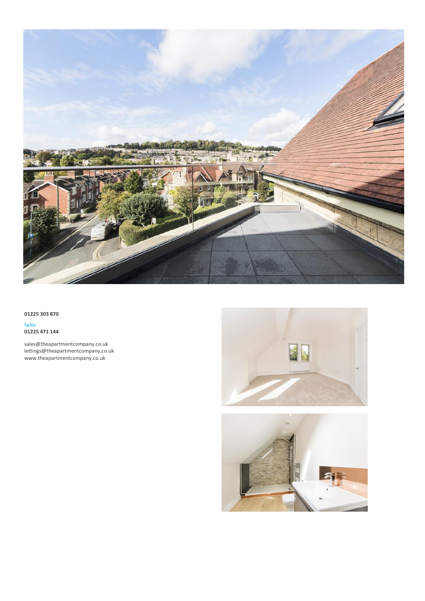

**01225 303 870**

Sales **01225 471 144**

sales@theapartmentcompany.co.uk lettings@theapartmentcompany.co.uk www.theapartmentcompany.co.uk